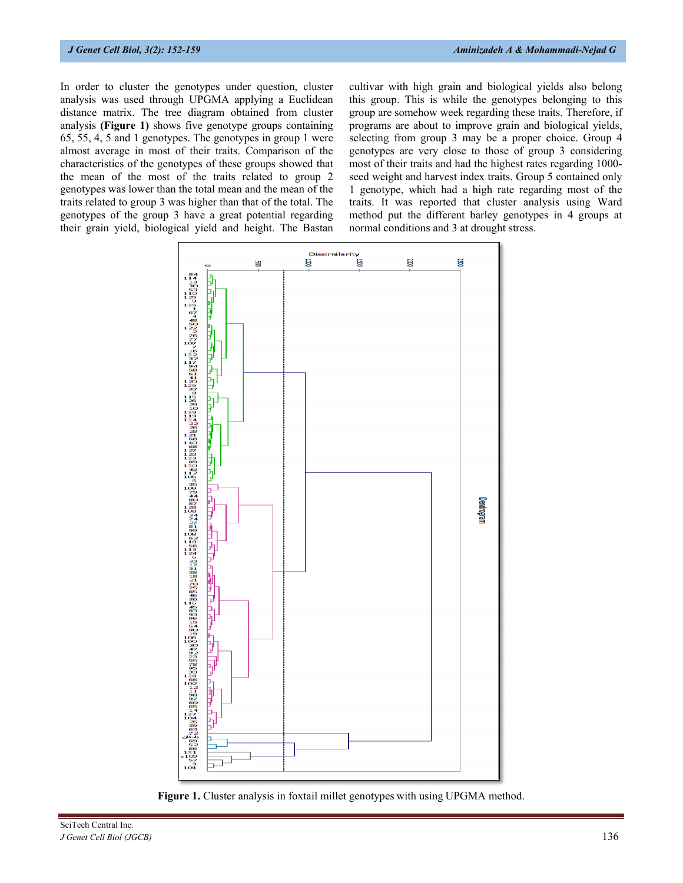In order to cluster the genotypes under question, cluster analysis was used through UPGMA applying a Euclidean distance matrix. The tree diagram obtained from cluster analysis **(Figure 1)** shows five genotype groups containing 65, 55, 4, 5 and 1 genotypes. The genotypes in group 1 were almost average in most of their traits. Comparison of the characteristics of the genotypes of these groups showed that the mean of the most of the traits related to group 2 genotypes was lower than the total mean and the mean of the traits related to group 3 was higher than that of the total. The genotypes of the group 3 have a great potential regarding their grain yield, biological yield and height. The Bastan cultivar with high grain and biological yields also belong this group. This is while the genotypes belonging to this group are somehow week regarding these traits. Therefore, if programs are about to improve grain and biological yields, selecting from group 3 may be a proper choice. Group 4 genotypes are very close to those of group 3 considering most of their traits and had the highest rates regarding 1000 seed weight and harvest index traits. Group 5 contained only 1 genotype, which had a high rate regarding most of the traits. It was reported that cluster analysis using Ward method put the different barley genotypes in 4 groups at normal conditions and 3 at drought stress.